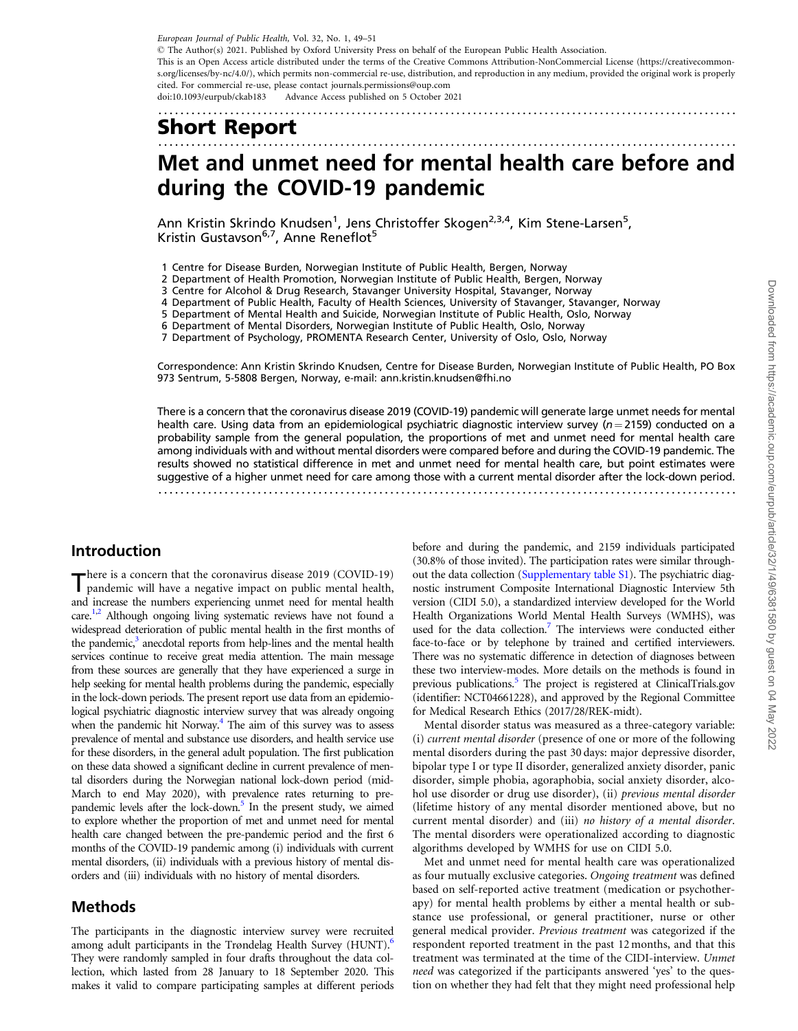<span id="page-0-0"></span>.........................................................................................................

# Short Report

## ......................................................................................................... Met and unmet need for mental health care before and during the COVID-19 pandemic

Ann Kristin Skrindo Knudsen<sup>1</sup>, Jens Christoffer Skogen<sup>2,3,4</sup>, Kim Stene-Larsen<sup>5</sup>, Kristin Gustavson<sup>6,7</sup>, Anne Reneflot<sup>5</sup>

1 Centre for Disease Burden, Norwegian Institute of Public Health, Bergen, Norway

2 Department of Health Promotion, Norwegian Institute of Public Health, Bergen, Norway

3 Centre for Alcohol & Drug Research, Stavanger University Hospital, Stavanger, Norway

4 Department of Public Health, Faculty of Health Sciences, University of Stavanger, Stavanger, Norway

5 Department of Mental Health and Suicide, Norwegian Institute of Public Health, Oslo, Norway

6 Department of Mental Disorders, Norwegian Institute of Public Health, Oslo, Norway

7 Department of Psychology, PROMENTA Research Center, University of Oslo, Oslo, Norway

Correspondence: Ann Kristin Skrindo Knudsen, Centre for Disease Burden, Norwegian Institute of Public Health, PO Box 973 Sentrum, 5-5808 Bergen, Norway, e-mail: ann.kristin.knudsen@fhi.no

There is a concern that the coronavirus disease 2019 (COVID-19) pandemic will generate large unmet needs for mental health care. Using data from an epidemiological psychiatric diagnostic interview survey ( $n = 2159$ ) conducted on a probability sample from the general population, the proportions of met and unmet need for mental health care among individuals with and without mental disorders were compared before and during the COVID-19 pandemic. The results showed no statistical difference in met and unmet need for mental health care, but point estimates were suggestive of a higher unmet need for care among those with a current mental disorder after the lock-down period. .........................................................................................................

### Introduction

There is a concern that the coronavirus disease 2019 (COVID-19) pandemic will have a negative impact on public mental health, and increase the numbers experiencing unmet need for mental health care.<sup>1,[2](#page-2-0)</sup> Although ongoing living systematic reviews have not found a widespread deterioration of public mental health in the first months of the pandemic, $3$  anecdotal reports from help-lines and the mental health services continue to receive great media attention. The main message from these sources are generally that they have experienced a surge in help seeking for mental health problems during the pandemic, especially in the lock-down periods. The present report use data from an epidemiological psychiatric diagnostic interview survey that was already ongoing when the pandemic hit Norway. $<sup>4</sup>$  The aim of this survey was to assess</sup> prevalence of mental and substance use disorders, and health service use for these disorders, in the general adult population. The first publication on these data showed a significant decline in current prevalence of mental disorders during the Norwegian national lock-down period (mid-March to end May 2020), with prevalence rates returning to prepandemic levels after the lock-down.<sup>5</sup> In the present study, we aimed to explore whether the proportion of met and unmet need for mental health care changed between the pre-pandemic period and the first 6 months of the COVID-19 pandemic among (i) individuals with current mental disorders, (ii) individuals with a previous history of mental disorders and (iii) individuals with no history of mental disorders.

### Methods

The participants in the diagnostic interview survey were recruited among adult participants in the Trøndelag Health Survey (HUNT).<sup>6</sup> They were randomly sampled in four drafts throughout the data collection, which lasted from 28 January to 18 September 2020. This makes it valid to compare participating samples at different periods before and during the pandemic, and 2159 individuals participated (30.8% of those invited). The participation rates were similar throughout the data collection ([Supplementary table S1](https://academic.oup.com/eurpub/article-lookup/doi/10.1093/eurpub/ckab183#supplementary-data)). The psychiatric diagnostic instrument Composite International Diagnostic Interview 5th version (CIDI 5.0), a standardized interview developed for the World Health Organizations World Mental Health Surveys (WMHS), was used for the data collection.<sup>7</sup> The interviews were conducted either face-to-face or by telephone by trained and certified interviewers. There was no systematic difference in detection of diagnoses between these two interview-modes. More details on the methods is found in previous publications.<sup>5</sup> The project is registered at ClinicalTrials.gov (identifier: NCT04661228), and approved by the Regional Committee for Medical Research Ethics (2017/28/REK-midt).

Mental disorder status was measured as a three-category variable: (i) current mental disorder (presence of one or more of the following mental disorders during the past 30 days: major depressive disorder, bipolar type I or type II disorder, generalized anxiety disorder, panic disorder, simple phobia, agoraphobia, social anxiety disorder, alcohol use disorder or drug use disorder), (ii) previous mental disorder (lifetime history of any mental disorder mentioned above, but no current mental disorder) and (iii) no history of a mental disorder. The mental disorders were operationalized according to diagnostic algorithms developed by WMHS for use on CIDI 5.0.

Met and unmet need for mental health care was operationalized as four mutually exclusive categories. Ongoing treatment was defined based on self-reported active treatment (medication or psychotherapy) for mental health problems by either a mental health or substance use professional, or general practitioner, nurse or other general medical provider. Previous treatment was categorized if the respondent reported treatment in the past 12 months, and that this treatment was terminated at the time of the CIDI-interview. Unmet need was categorized if the participants answered 'yes' to the question on whether they had felt that they might need professional help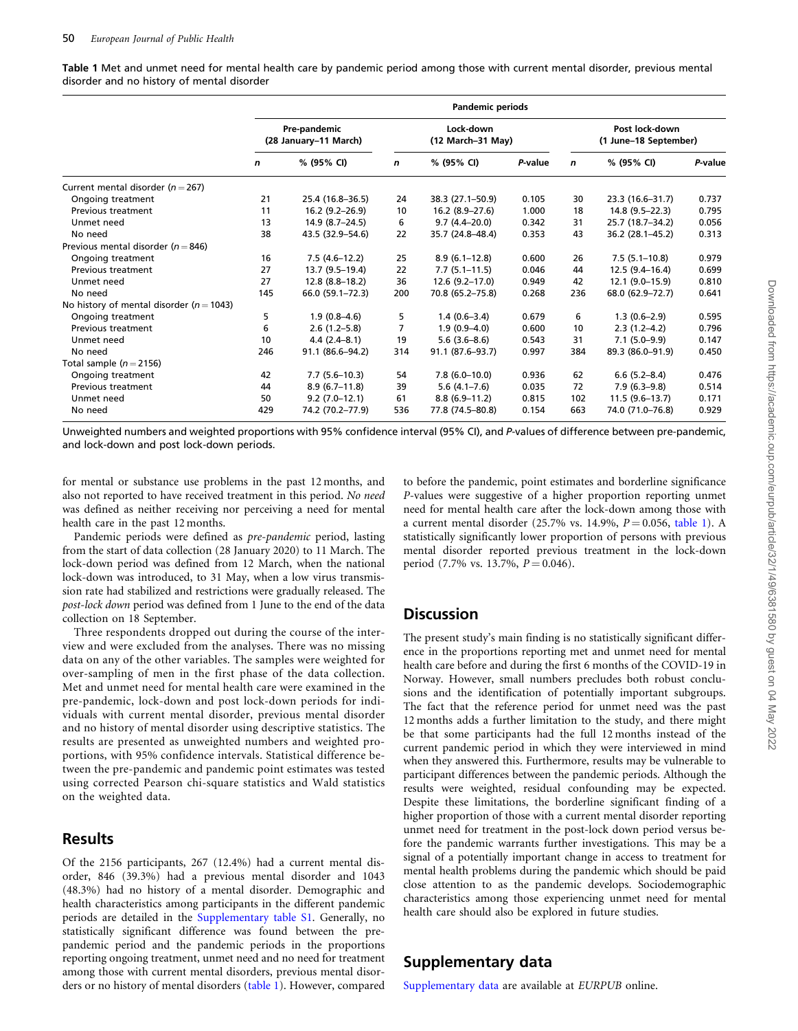Table 1 Met and unmet need for mental health care by pandemic period among those with current mental disorder, previous mental disorder and no history of mental disorder

|                                              | <b>Pandemic periods</b>               |                    |                                |                   |         |                                         |                  |         |
|----------------------------------------------|---------------------------------------|--------------------|--------------------------------|-------------------|---------|-----------------------------------------|------------------|---------|
|                                              | Pre-pandemic<br>(28 January-11 March) |                    | Lock down<br>(12 March-31 May) |                   |         | Post lock-down<br>(1 June-18 September) |                  |         |
|                                              | n                                     | % (95% CI)         | n                              | % (95% CI)        | P-value | $\mathbf n$                             | % (95% CI)       | P-value |
| Current mental disorder ( $n = 267$ )        |                                       |                    |                                |                   |         |                                         |                  |         |
| Ongoing treatment                            | 21                                    | 25.4 (16.8-36.5)   | 24                             | 38.3 (27.1–50.9)  | 0.105   | 30                                      | 23.3 (16.6-31.7) | 0.737   |
| Previous treatment                           | 11                                    | 16.2 (9.2–26.9)    | 10                             | $16.2(8.9-27.6)$  | 1.000   | 18                                      | 14.8 (9.5-22.3)  | 0.795   |
| Unmet need                                   | 13                                    | $14.9(8.7 - 24.5)$ | 6                              | $9.7(4.4-20.0)$   | 0.342   | 31                                      | 25.7 (18.7-34.2) | 0.056   |
| No need                                      | 38                                    | 43.5 (32.9–54.6)   | 22                             | 35.7 (24.8–48.4)  | 0.353   | 43                                      | 36.2 (28.1-45.2) | 0.313   |
| Previous mental disorder ( $n = 846$ )       |                                       |                    |                                |                   |         |                                         |                  |         |
| Ongoing treatment                            | 16                                    | $7.5(4.6-12.2)$    | 25                             | $8.9(6.1-12.8)$   | 0.600   | 26                                      | $7.5(5.1-10.8)$  | 0.979   |
| Previous treatment                           | 27                                    | 13.7 (9.5–19.4)    | 22                             | $7.7(5.1 - 11.5)$ | 0.046   | 44                                      | $12.5(9.4-16.4)$ | 0.699   |
| Unmet need                                   | 27                                    | 12.8 (8.8-18.2)    | 36                             | $12.6(9.2-17.0)$  | 0.949   | 42                                      | 12.1 (9.0-15.9)  | 0.810   |
| No need                                      | 145                                   | 66.0 (59.1-72.3)   | 200                            | 70.8 (65.2-75.8)  | 0.268   | 236                                     | 68.0 (62.9–72.7) | 0.641   |
| No history of mental disorder ( $n = 1043$ ) |                                       |                    |                                |                   |         |                                         |                  |         |
| Ongoing treatment                            | 5                                     | $1.9(0.8-4.6)$     | 5                              | $1.4(0.6-3.4)$    | 0.679   | 6                                       | $1.3(0.6-2.9)$   | 0.595   |
| Previous treatment                           | 6                                     | $2.6(1.2-5.8)$     | 7                              | $1.9(0.9 - 4.0)$  | 0.600   | 10                                      | $2.3(1.2-4.2)$   | 0.796   |
| Unmet need                                   | 10                                    | $4.4(2.4-8.1)$     | 19                             | $5.6(3.6-8.6)$    | 0.543   | 31                                      | $7.1(5.0-9.9)$   | 0.147   |
| No need                                      | 246                                   | 91.1 (86.6-94.2)   | 314                            | 91.1 (87.6-93.7)  | 0.997   | 384                                     | 89.3 (86.0-91.9) | 0.450   |
| Total sample $(n=2156)$                      |                                       |                    |                                |                   |         |                                         |                  |         |
| Ongoing treatment                            | 42                                    | $7.7(5.6-10.3)$    | 54                             | $7.8(6.0-10.0)$   | 0.936   | 62                                      | $6.6$ (5.2-8.4)  | 0.476   |
| Previous treatment                           | 44                                    | $8.9(6.7-11.8)$    | 39                             | $5.6(4.1 - 7.6)$  | 0.035   | 72                                      | $7.9(6.3-9.8)$   | 0.514   |
| Unmet need                                   | 50                                    | $9.2(7.0-12.1)$    | 61                             | $8.8(6.9-11.2)$   | 0.815   | 102                                     | $11.5(9.6-13.7)$ | 0.171   |
| No need                                      | 429                                   | 74.2 (70.2-77.9)   | 536                            | 77.8 (74.5-80.8)  | 0.154   | 663                                     | 74.0 (71.0-76.8) | 0.929   |

Unweighted numbers and weighted proportions with 95% confidence interval (95% CI), and P-values of difference between pre-pandemic, and lock-down and post lock-down periods.

for mental or substance use problems in the past 12 months, and also not reported to have received treatment in this period. No need was defined as neither receiving nor perceiving a need for mental health care in the past 12 months.

Pandemic periods were defined as pre-pandemic period, lasting from the start of data collection (28 January 2020) to 11 March. The lock-down period was defined from 12 March, when the national lock-down was introduced, to 31 May, when a low virus transmission rate had stabilized and restrictions were gradually released. The post-lock down period was defined from 1 June to the end of the data collection on 18 September.

Three respondents dropped out during the course of the interview and were excluded from the analyses. There was no missing data on any of the other variables. The samples were weighted for over-sampling of men in the first phase of the data collection. Met and unmet need for mental health care were examined in the pre-pandemic, lock-down and post lock-down periods for individuals with current mental disorder, previous mental disorder and no history of mental disorder using descriptive statistics. The results are presented as unweighted numbers and weighted proportions, with 95% confidence intervals. Statistical difference between the pre-pandemic and pandemic point estimates was tested using corrected Pearson chi-square statistics and Wald statistics on the weighted data.

#### Results

Of the 2156 participants, 267 (12.4%) had a current mental disorder, 846 (39.3%) had a previous mental disorder and 1043 (48.3%) had no history of a mental disorder. Demographic and health characteristics among participants in the different pandemic periods are detailed in the [Supplementary table S1.](https://academic.oup.com/eurpub/article-lookup/doi/10.1093/eurpub/ckab183#supplementary-data) Generally, no statistically significant difference was found between the prepandemic period and the pandemic periods in the proportions reporting ongoing treatment, unmet need and no need for treatment among those with current mental disorders, previous mental disorders or no history of mental disorders (table 1). However, compared

to before the pandemic, point estimates and borderline significance P-values were suggestive of a higher proportion reporting unmet need for mental health care after the lock-down among those with a current mental disorder (25.7% vs. 14.9%,  $P = 0.056$ , table 1). A statistically significantly lower proportion of persons with previous mental disorder reported previous treatment in the lock-down period (7.7% vs. 13.7%,  $P = 0.046$ ).

### **Discussion**

The present study's main finding is no statistically significant difference in the proportions reporting met and unmet need for mental health care before and during the first 6 months of the COVID-19 in Norway. However, small numbers precludes both robust conclusions and the identification of potentially important subgroups. The fact that the reference period for unmet need was the past 12 months adds a further limitation to the study, and there might be that some participants had the full 12 months instead of the current pandemic period in which they were interviewed in mind when they answered this. Furthermore, results may be vulnerable to participant differences between the pandemic periods. Although the results were weighted, residual confounding may be expected. Despite these limitations, the borderline significant finding of a higher proportion of those with a current mental disorder reporting unmet need for treatment in the post-lock down period versus before the pandemic warrants further investigations. This may be a signal of a potentially important change in access to treatment for mental health problems during the pandemic which should be paid close attention to as the pandemic develops. Sociodemographic characteristics among those experiencing unmet need for mental health care should also be explored in future studies.

#### Supplementary data

[Supplementary data](https://academic.oup.com/eurpub/article-lookup/doi/10.1093/eurpub/ckab183#supplementary-data) are available at EURPUB online.